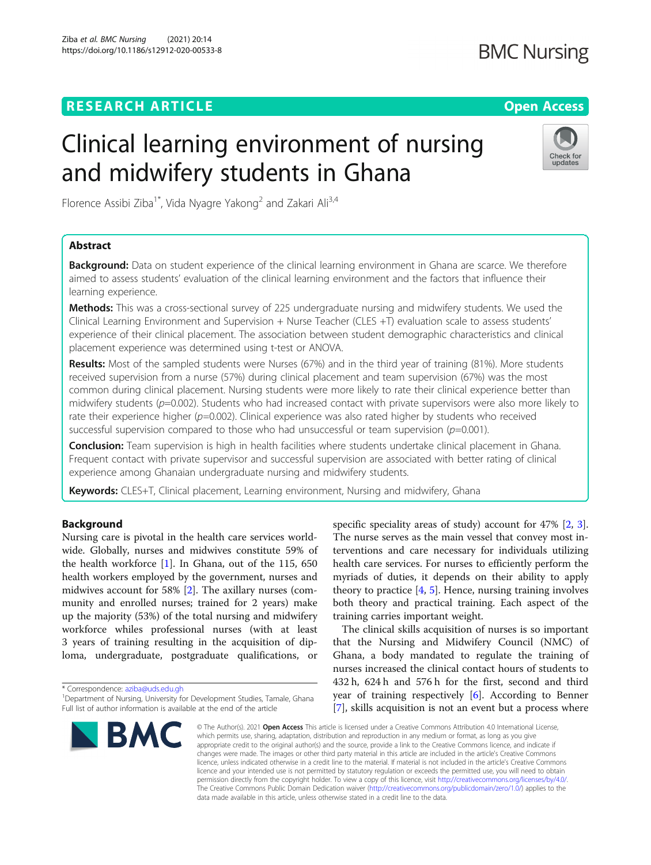### **RESEARCH ARTICLE External Structure of the Company of the Open Access**

## **BMC Nursing**

# Clinical learning environment of nursing and midwifery students in Ghana



Florence Assibi Ziba<sup>1\*</sup>, Vida Nyagre Yakong<sup>2</sup> and Zakari Ali<sup>3,4</sup>

### Abstract

**Background:** Data on student experience of the clinical learning environment in Ghana are scarce. We therefore aimed to assess students' evaluation of the clinical learning environment and the factors that influence their learning experience.

**Methods:** This was a cross-sectional survey of 225 undergraduate nursing and midwifery students. We used the Clinical Learning Environment and Supervision + Nurse Teacher (CLES +T) evaluation scale to assess students' experience of their clinical placement. The association between student demographic characteristics and clinical placement experience was determined using t-test or ANOVA.

Results: Most of the sampled students were Nurses (67%) and in the third year of training (81%). More students received supervision from a nurse (57%) during clinical placement and team supervision (67%) was the most common during clinical placement. Nursing students were more likely to rate their clinical experience better than midwifery students ( $p=0.002$ ). Students who had increased contact with private supervisors were also more likely to rate their experience higher ( $p=0.002$ ). Clinical experience was also rated higher by students who received successful supervision compared to those who had unsuccessful or team supervision ( $p=0.001$ ).

Conclusion: Team supervision is high in health facilities where students undertake clinical placement in Ghana. Frequent contact with private supervisor and successful supervision are associated with better rating of clinical experience among Ghanaian undergraduate nursing and midwifery students.

Keywords: CLES+T, Clinical placement, Learning environment, Nursing and midwifery, Ghana

#### Background

Nursing care is pivotal in the health care services worldwide. Globally, nurses and midwives constitute 59% of the health workforce  $[1]$  $[1]$ . In Ghana, out of the 115, 650 health workers employed by the government, nurses and midwives account for 58% [\[2](#page-6-0)]. The axillary nurses (community and enrolled nurses; trained for 2 years) make up the majority (53%) of the total nursing and midwifery workforce whiles professional nurses (with at least 3 years of training resulting in the acquisition of diploma, undergraduate, postgraduate qualifications, or

\* Correspondence: [aziba@uds.edu.gh](mailto:aziba@uds.edu.gh) <sup>1</sup>

<sup>&</sup>lt;sup>1</sup>Department of Nursing, University for Development Studies, Tamale, Ghana Full list of author information is available at the end of the article



specific speciality areas of study) account for 47% [[2,](#page-6-0) [3](#page-6-0)]. The nurse serves as the main vessel that convey most interventions and care necessary for individuals utilizing health care services. For nurses to efficiently perform the myriads of duties, it depends on their ability to apply theory to practice  $[4, 5]$  $[4, 5]$  $[4, 5]$ . Hence, nursing training involves both theory and practical training. Each aspect of the training carries important weight.

The clinical skills acquisition of nurses is so important that the Nursing and Midwifery Council (NMC) of Ghana, a body mandated to regulate the training of nurses increased the clinical contact hours of students to 432 h, 624 h and 576 h for the first, second and third year of training respectively [[6\]](#page-6-0). According to Benner [[7\]](#page-6-0), skills acquisition is not an event but a process where

© The Author(s), 2021 **Open Access** This article is licensed under a Creative Commons Attribution 4.0 International License, which permits use, sharing, adaptation, distribution and reproduction in any medium or format, as long as you give appropriate credit to the original author(s) and the source, provide a link to the Creative Commons licence, and indicate if changes were made. The images or other third party material in this article are included in the article's Creative Commons licence, unless indicated otherwise in a credit line to the material. If material is not included in the article's Creative Commons licence and your intended use is not permitted by statutory regulation or exceeds the permitted use, you will need to obtain permission directly from the copyright holder. To view a copy of this licence, visit [http://creativecommons.org/licenses/by/4.0/.](http://creativecommons.org/licenses/by/4.0/) The Creative Commons Public Domain Dedication waiver [\(http://creativecommons.org/publicdomain/zero/1.0/](http://creativecommons.org/publicdomain/zero/1.0/)) applies to the data made available in this article, unless otherwise stated in a credit line to the data.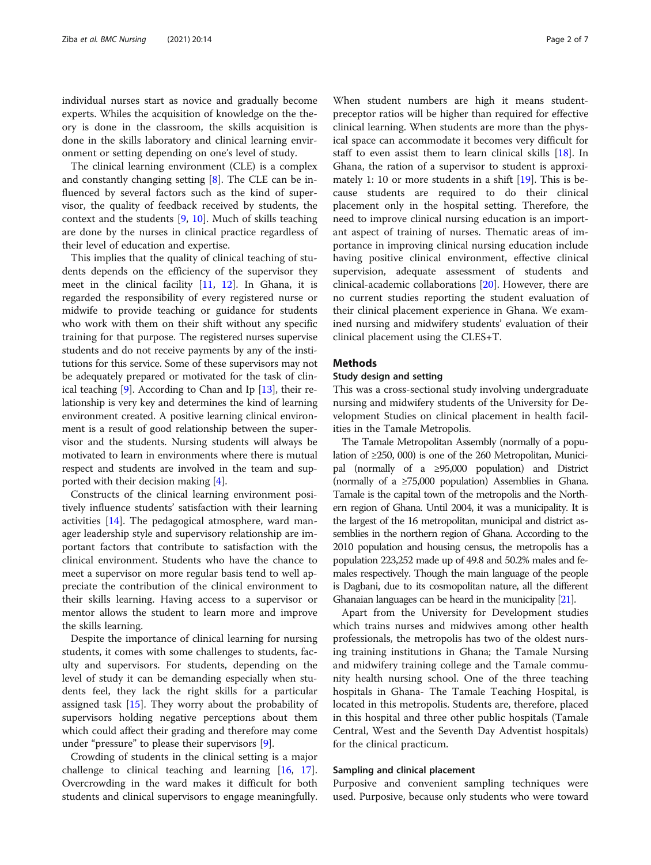individual nurses start as novice and gradually become experts. Whiles the acquisition of knowledge on the theory is done in the classroom, the skills acquisition is done in the skills laboratory and clinical learning environment or setting depending on one's level of study.

The clinical learning environment (CLE) is a complex and constantly changing setting [\[8](#page-6-0)]. The CLE can be influenced by several factors such as the kind of supervisor, the quality of feedback received by students, the context and the students [\[9](#page-6-0), [10\]](#page-6-0). Much of skills teaching are done by the nurses in clinical practice regardless of their level of education and expertise.

This implies that the quality of clinical teaching of students depends on the efficiency of the supervisor they meet in the clinical facility [\[11,](#page-6-0) [12\]](#page-6-0). In Ghana, it is regarded the responsibility of every registered nurse or midwife to provide teaching or guidance for students who work with them on their shift without any specific training for that purpose. The registered nurses supervise students and do not receive payments by any of the institutions for this service. Some of these supervisors may not be adequately prepared or motivated for the task of clinical teaching  $[9]$  $[9]$ . According to Chan and Ip  $[13]$ , their relationship is very key and determines the kind of learning environment created. A positive learning clinical environment is a result of good relationship between the supervisor and the students. Nursing students will always be motivated to learn in environments where there is mutual respect and students are involved in the team and supported with their decision making [[4\]](#page-6-0).

Constructs of the clinical learning environment positively influence students' satisfaction with their learning activities [\[14](#page-6-0)]. The pedagogical atmosphere, ward manager leadership style and supervisory relationship are important factors that contribute to satisfaction with the clinical environment. Students who have the chance to meet a supervisor on more regular basis tend to well appreciate the contribution of the clinical environment to their skills learning. Having access to a supervisor or mentor allows the student to learn more and improve the skills learning.

Despite the importance of clinical learning for nursing students, it comes with some challenges to students, faculty and supervisors. For students, depending on the level of study it can be demanding especially when students feel, they lack the right skills for a particular assigned task [[15](#page-6-0)]. They worry about the probability of supervisors holding negative perceptions about them which could affect their grading and therefore may come under "pressure" to please their supervisors [[9\]](#page-6-0).

Crowding of students in the clinical setting is a major challenge to clinical teaching and learning [[16,](#page-6-0) [17](#page-6-0)]. Overcrowding in the ward makes it difficult for both students and clinical supervisors to engage meaningfully.

When student numbers are high it means studentpreceptor ratios will be higher than required for effective clinical learning. When students are more than the physical space can accommodate it becomes very difficult for staff to even assist them to learn clinical skills [[18](#page-6-0)]. In Ghana, the ration of a supervisor to student is approximately 1: 10 or more students in a shift  $[19]$  $[19]$ . This is because students are required to do their clinical placement only in the hospital setting. Therefore, the need to improve clinical nursing education is an important aspect of training of nurses. Thematic areas of importance in improving clinical nursing education include having positive clinical environment, effective clinical supervision, adequate assessment of students and clinical-academic collaborations [[20\]](#page-6-0). However, there are no current studies reporting the student evaluation of their clinical placement experience in Ghana. We examined nursing and midwifery students' evaluation of their clinical placement using the CLES+T.

#### Methods

#### Study design and setting

This was a cross-sectional study involving undergraduate nursing and midwifery students of the University for Development Studies on clinical placement in health facilities in the Tamale Metropolis.

The Tamale Metropolitan Assembly (normally of a population of ≥250, 000) is one of the 260 Metropolitan, Municipal (normally of a ≥95,000 population) and District (normally of a ≥75,000 population) Assemblies in Ghana. Tamale is the capital town of the metropolis and the Northern region of Ghana. Until 2004, it was a municipality. It is the largest of the 16 metropolitan, municipal and district assemblies in the northern region of Ghana. According to the 2010 population and housing census, the metropolis has a population 223,252 made up of 49.8 and 50.2% males and females respectively. Though the main language of the people is Dagbani, due to its cosmopolitan nature, all the different Ghanaian languages can be heard in the municipality [\[21](#page-6-0)].

Apart from the University for Development studies which trains nurses and midwives among other health professionals, the metropolis has two of the oldest nursing training institutions in Ghana; the Tamale Nursing and midwifery training college and the Tamale community health nursing school. One of the three teaching hospitals in Ghana- The Tamale Teaching Hospital, is located in this metropolis. Students are, therefore, placed in this hospital and three other public hospitals (Tamale Central, West and the Seventh Day Adventist hospitals) for the clinical practicum.

#### Sampling and clinical placement

Purposive and convenient sampling techniques were used. Purposive, because only students who were toward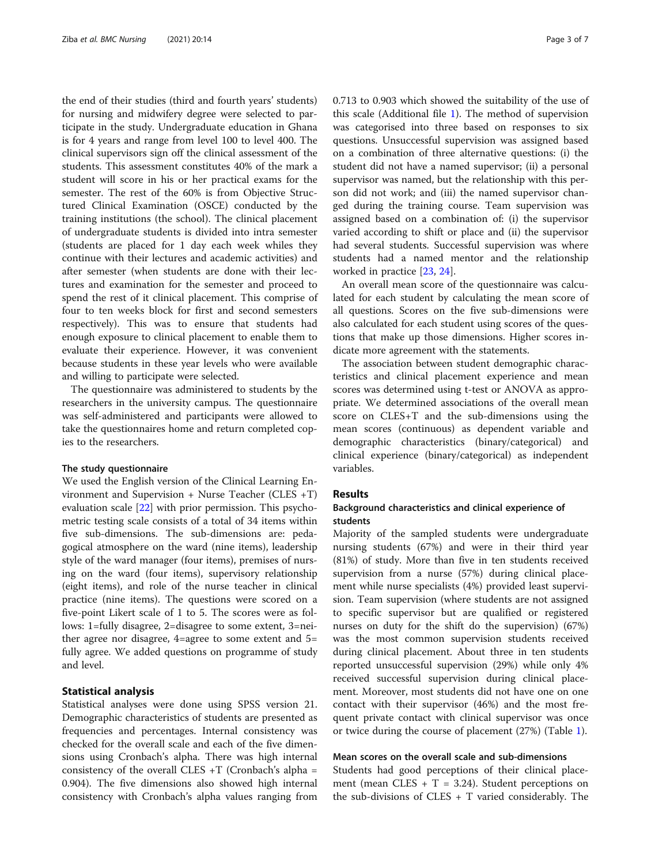the end of their studies (third and fourth years' students) for nursing and midwifery degree were selected to participate in the study. Undergraduate education in Ghana is for 4 years and range from level 100 to level 400. The clinical supervisors sign off the clinical assessment of the students. This assessment constitutes 40% of the mark a student will score in his or her practical exams for the semester. The rest of the 60% is from Objective Structured Clinical Examination (OSCE) conducted by the training institutions (the school). The clinical placement of undergraduate students is divided into intra semester (students are placed for 1 day each week whiles they continue with their lectures and academic activities) and after semester (when students are done with their lectures and examination for the semester and proceed to spend the rest of it clinical placement. This comprise of four to ten weeks block for first and second semesters respectively). This was to ensure that students had enough exposure to clinical placement to enable them to evaluate their experience. However, it was convenient because students in these year levels who were available and willing to participate were selected.

The questionnaire was administered to students by the researchers in the university campus. The questionnaire was self-administered and participants were allowed to take the questionnaires home and return completed copies to the researchers.

#### The study questionnaire

We used the English version of the Clinical Learning Environment and Supervision + Nurse Teacher (CLES +T) evaluation scale [\[22](#page-6-0)] with prior permission. This psychometric testing scale consists of a total of 34 items within five sub-dimensions. The sub-dimensions are: pedagogical atmosphere on the ward (nine items), leadership style of the ward manager (four items), premises of nursing on the ward (four items), supervisory relationship (eight items), and role of the nurse teacher in clinical practice (nine items). The questions were scored on a five-point Likert scale of 1 to 5. The scores were as follows: 1=fully disagree, 2=disagree to some extent, 3=neither agree nor disagree, 4=agree to some extent and 5= fully agree. We added questions on programme of study and level.

#### Statistical analysis

Statistical analyses were done using SPSS version 21. Demographic characteristics of students are presented as frequencies and percentages. Internal consistency was checked for the overall scale and each of the five dimensions using Cronbach's alpha. There was high internal consistency of the overall CLES  $+T$  (Cronbach's alpha = 0.904). The five dimensions also showed high internal consistency with Cronbach's alpha values ranging from 0.713 to 0.903 which showed the suitability of the use of this scale (Additional file [1\)](#page-5-0). The method of supervision was categorised into three based on responses to six questions. Unsuccessful supervision was assigned based on a combination of three alternative questions: (i) the student did not have a named supervisor; (ii) a personal supervisor was named, but the relationship with this person did not work; and (iii) the named supervisor changed during the training course. Team supervision was assigned based on a combination of: (i) the supervisor varied according to shift or place and (ii) the supervisor had several students. Successful supervision was where students had a named mentor and the relationship worked in practice [\[23,](#page-6-0) [24\]](#page-6-0).

An overall mean score of the questionnaire was calculated for each student by calculating the mean score of all questions. Scores on the five sub-dimensions were also calculated for each student using scores of the questions that make up those dimensions. Higher scores indicate more agreement with the statements.

The association between student demographic characteristics and clinical placement experience and mean scores was determined using t-test or ANOVA as appropriate. We determined associations of the overall mean score on CLES+T and the sub-dimensions using the mean scores (continuous) as dependent variable and demographic characteristics (binary/categorical) and clinical experience (binary/categorical) as independent variables.

#### Results

#### Background characteristics and clinical experience of students

Majority of the sampled students were undergraduate nursing students (67%) and were in their third year (81%) of study. More than five in ten students received supervision from a nurse (57%) during clinical placement while nurse specialists (4%) provided least supervision. Team supervision (where students are not assigned to specific supervisor but are qualified or registered nurses on duty for the shift do the supervision) (67%) was the most common supervision students received during clinical placement. About three in ten students reported unsuccessful supervision (29%) while only 4% received successful supervision during clinical placement. Moreover, most students did not have one on one contact with their supervisor (46%) and the most frequent private contact with clinical supervisor was once or twice during the course of placement (27%) (Table [1](#page-3-0)).

#### Mean scores on the overall scale and sub-dimensions

Students had good perceptions of their clinical placement (mean CLES  $+ T = 3.24$ ). Student perceptions on the sub-divisions of  $CLES + T$  varied considerably. The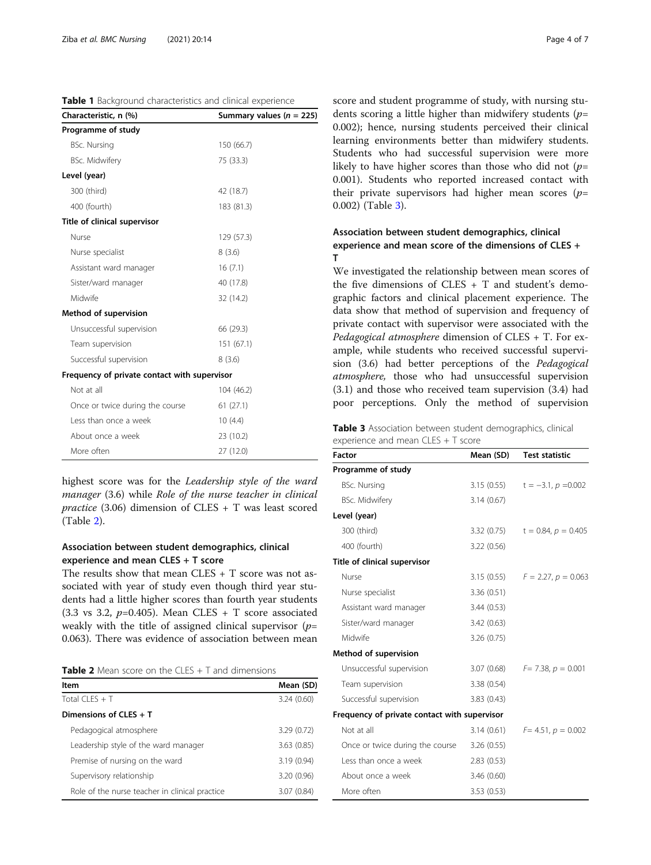<span id="page-3-0"></span>Table 1 Background characteristics and clinical experience

| Characteristic, n (%)                        | Summary values ( $n = 225$ ) |  |  |  |
|----------------------------------------------|------------------------------|--|--|--|
| Programme of study                           |                              |  |  |  |
| <b>BSc. Nursing</b>                          | 150 (66.7)                   |  |  |  |
| <b>BSc. Midwifery</b>                        | 75 (33.3)                    |  |  |  |
| Level (year)                                 |                              |  |  |  |
| 300 (third)                                  | 42 (18.7)                    |  |  |  |
| 400 (fourth)                                 | 183 (81.3)                   |  |  |  |
| Title of clinical supervisor                 |                              |  |  |  |
| Nurse                                        | 129 (57.3)                   |  |  |  |
| Nurse specialist                             | 8(3.6)                       |  |  |  |
| Assistant ward manager                       | 16(7.1)                      |  |  |  |
| Sister/ward manager                          | 40 (17.8)                    |  |  |  |
| Midwife                                      | 32 (14.2)                    |  |  |  |
| Method of supervision                        |                              |  |  |  |
| Unsuccessful supervision                     | 66 (29.3)                    |  |  |  |
| Team supervision                             | 151 (67.1)                   |  |  |  |
| Successful supervision                       | 8(3.6)                       |  |  |  |
| Frequency of private contact with supervisor |                              |  |  |  |
| Not at all                                   | 104 (46.2)                   |  |  |  |
| Once or twice during the course              | 61(27.1)                     |  |  |  |
| Less than once a week                        | 10(4.4)                      |  |  |  |
| About once a week                            | 23 (10.2)                    |  |  |  |
| More often                                   | 27 (12.0)                    |  |  |  |

highest score was for the Leadership style of the ward manager (3.6) while Role of the nurse teacher in clinical practice (3.06) dimension of CLES + T was least scored (Table 2).

#### Association between student demographics, clinical experience and mean CLES + T score

The results show that mean CLES + T score was not associated with year of study even though third year students had a little higher scores than fourth year students (3.3 vs 3.2,  $p=0.405$ ). Mean CLES + T score associated weakly with the title of assigned clinical supervisor  $(p=$ 0.063). There was evidence of association between mean

**Table 2** Mean score on the CLES  $+$  T and dimensions

| ltem                                           | Mean (SD)   |
|------------------------------------------------|-------------|
| Total CLES + T                                 | 3.24(0.60)  |
| Dimensions of $CLES + T$                       |             |
| Pedagogical atmosphere                         | 3.29(0.72)  |
| Leadership style of the ward manager           | 3.63(0.85)  |
| Premise of nursing on the ward                 | 3.19(0.94)  |
| Supervisory relationship                       | 3.20 (0.96) |
| Role of the nurse teacher in clinical practice | 3.07(0.84)  |

score and student programme of study, with nursing students scoring a little higher than midwifery students  $(p=$ 0.002); hence, nursing students perceived their clinical learning environments better than midwifery students. Students who had successful supervision were more likely to have higher scores than those who did not  $(p=$ 0.001). Students who reported increased contact with their private supervisors had higher mean scores  $(p=$ 0.002) (Table 3).

#### Association between student demographics, clinical experience and mean score of the dimensions of CLES + T

We investigated the relationship between mean scores of the five dimensions of CLES + T and student's demographic factors and clinical placement experience. The data show that method of supervision and frequency of private contact with supervisor were associated with the Pedagogical atmosphere dimension of CLES + T. For example, while students who received successful supervision (3.6) had better perceptions of the Pedagogical atmosphere, those who had unsuccessful supervision (3.1) and those who received team supervision (3.4) had poor perceptions. Only the method of supervision

Table 3 Association between student demographics, clinical experience and mean CLES + T score

| Factor                                       | Mean (SD)   | <b>Test statistic</b>                |
|----------------------------------------------|-------------|--------------------------------------|
| Programme of study                           |             |                                      |
| <b>BSc. Nursing</b>                          |             | 3.15 (0.55) $t = -3.1$ , $p = 0.002$ |
| <b>BSc. Midwifery</b>                        | 3.14(0.67)  |                                      |
| Level (year)                                 |             |                                      |
| 300 (third)                                  |             | 3.32 (0.75) $t = 0.84$ , $p = 0.405$ |
| 400 (fourth)                                 | 3.22(0.56)  |                                      |
| Title of clinical supervisor                 |             |                                      |
| Nurse                                        |             | 3.15 (0.55) $F = 2.27$ , $p = 0.063$ |
| Nurse specialist                             | 3.36(0.51)  |                                      |
| Assistant ward manager                       | 3.44(0.53)  |                                      |
| Sister/ward manager                          | 3.42(0.63)  |                                      |
| Midwife                                      | 3.26 (0.75) |                                      |
| Method of supervision                        |             |                                      |
| Unsuccessful supervision                     |             | 3.07 (0.68) $F = 7.38$ , $p = 0.001$ |
| Team supervision                             | 3.38 (0.54) |                                      |
| Successful supervision                       | 3.83(0.43)  |                                      |
| Frequency of private contact with supervisor |             |                                      |
| Not at all                                   | 3.14 (0.61) | $F = 4.51, p = 0.002$                |
| Once or twice during the course              | 3.26(0.55)  |                                      |
| Less than once a week                        | 2.83(0.53)  |                                      |
| About once a week                            | 3.46(0.60)  |                                      |
| More often                                   | 3.53(0.53)  |                                      |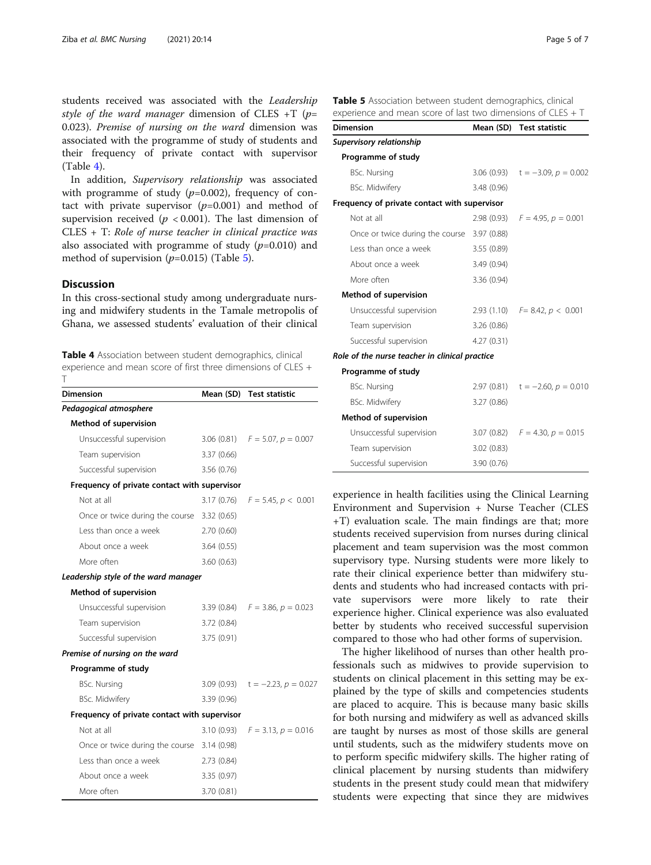students received was associated with the Leadership style of the ward manager dimension of CLES +T ( $p=$ 0.023). Premise of nursing on the ward dimension was associated with the programme of study of students and their frequency of private contact with supervisor  $(Table 4)$ .

In addition, Supervisory relationship was associated with programme of study  $(p=0.002)$ , frequency of contact with private supervisor  $(p=0.001)$  and method of supervision received ( $p < 0.001$ ). The last dimension of CLES + T: Role of nurse teacher in clinical practice was also associated with programme of study  $(p=0.010)$  and method of supervision  $(p=0.015)$  (Table 5).

#### Discussion

In this cross-sectional study among undergraduate nursing and midwifery students in the Tamale metropolis of Ghana, we assessed students' evaluation of their clinical

Table 4 Association between student demographics, clinical experience and mean score of first three dimensions of CLES + T

| <b>Dimension</b>                             | Mean (SD)   | <b>Test statistic</b>                 |
|----------------------------------------------|-------------|---------------------------------------|
| Pedagogical atmosphere                       |             |                                       |
| Method of supervision                        |             |                                       |
| Unsuccessful supervision                     |             | 3.06 (0.81) $F = 5.07$ , $p = 0.007$  |
| Team supervision                             | 3.37(0.66)  |                                       |
| Successful supervision                       | 3.56(0.76)  |                                       |
| Frequency of private contact with supervisor |             |                                       |
| Not at all                                   |             | 3.17 (0.76) $F = 5.45, p < 0.001$     |
| Once or twice during the course 3.32 (0.65)  |             |                                       |
| Less than once a week                        | 2.70(0.60)  |                                       |
| About once a week                            | 3.64(0.55)  |                                       |
| More often                                   | 3.60(0.63)  |                                       |
| Leadership style of the ward manager         |             |                                       |
| Method of supervision                        |             |                                       |
| Unsuccessful supervision                     |             | 3.39 (0.84) $F = 3.86$ , $p = 0.023$  |
| Team supervision                             | 3.72(0.84)  |                                       |
| Successful supervision                       | 3.75 (0.91) |                                       |
| Premise of nursing on the ward               |             |                                       |
| Programme of study                           |             |                                       |
| <b>BSc. Nursing</b>                          |             | 3.09 (0.93) $t = -2.23$ , $p = 0.027$ |
| <b>BSc. Midwifery</b>                        | 3.39 (0.96) |                                       |
| Frequency of private contact with supervisor |             |                                       |
| Not at all                                   |             | 3.10 (0.93) $F = 3.13$ , $p = 0.016$  |
| Once or twice during the course              | 3.14(0.98)  |                                       |
| Less than once a week                        | 2.73(0.84)  |                                       |
| About once a week                            | 3.35(0.97)  |                                       |
| More often                                   | 3.70 (0.81) |                                       |

|  |  |  | Table 5 Association between student demographics, clinical     |  |  |
|--|--|--|----------------------------------------------------------------|--|--|
|  |  |  | experience and mean score of last two dimensions of CLES $+$ T |  |  |

| <b>Dimension</b>                               |             | Mean (SD) Test statistic              |
|------------------------------------------------|-------------|---------------------------------------|
| Supervisory relationship                       |             |                                       |
| Programme of study                             |             |                                       |
| <b>BSc. Nursing</b>                            |             | 3.06 (0.93) $t = -3.09$ , $p = 0.002$ |
| <b>BSc. Midwifery</b>                          | 3.48 (0.96) |                                       |
| Frequency of private contact with supervisor   |             |                                       |
| Not at all                                     |             | 2.98 (0.93) $F = 4.95$ , $p = 0.001$  |
| Once or twice during the course 3.97 (0.88)    |             |                                       |
| Less than once a week                          | 3.55(0.89)  |                                       |
| About once a week                              | 3.49 (0.94) |                                       |
| More often                                     | 3.36 (0.94) |                                       |
| Method of supervision                          |             |                                       |
| Unsuccessful supervision                       |             | 2.93 (1.10) $F = 8.42$ , $p < 0.001$  |
| Team supervision                               | 3.26(0.86)  |                                       |
| Successful supervision                         | 4.27(0.31)  |                                       |
| Role of the nurse teacher in clinical practice |             |                                       |
| Programme of study                             |             |                                       |
| <b>BSc. Nursing</b>                            |             | 2.97 (0.81) $t = -2.60$ , $p = 0.010$ |
| <b>BSc. Midwifery</b>                          | 3.27(0.86)  |                                       |
| Method of supervision                          |             |                                       |
| Unsuccessful supervision                       |             | 3.07 (0.82) $F = 4.30, p = 0.015$     |
| Team supervision                               | 3.02(0.83)  |                                       |
| Successful supervision                         | 3.90 (0.76) |                                       |

experience in health facilities using the Clinical Learning Environment and Supervision + Nurse Teacher (CLES +T) evaluation scale. The main findings are that; more students received supervision from nurses during clinical placement and team supervision was the most common supervisory type. Nursing students were more likely to rate their clinical experience better than midwifery students and students who had increased contacts with private supervisors were more likely to rate their experience higher. Clinical experience was also evaluated better by students who received successful supervision compared to those who had other forms of supervision.

The higher likelihood of nurses than other health professionals such as midwives to provide supervision to students on clinical placement in this setting may be explained by the type of skills and competencies students are placed to acquire. This is because many basic skills for both nursing and midwifery as well as advanced skills are taught by nurses as most of those skills are general until students, such as the midwifery students move on to perform specific midwifery skills. The higher rating of clinical placement by nursing students than midwifery students in the present study could mean that midwifery students were expecting that since they are midwives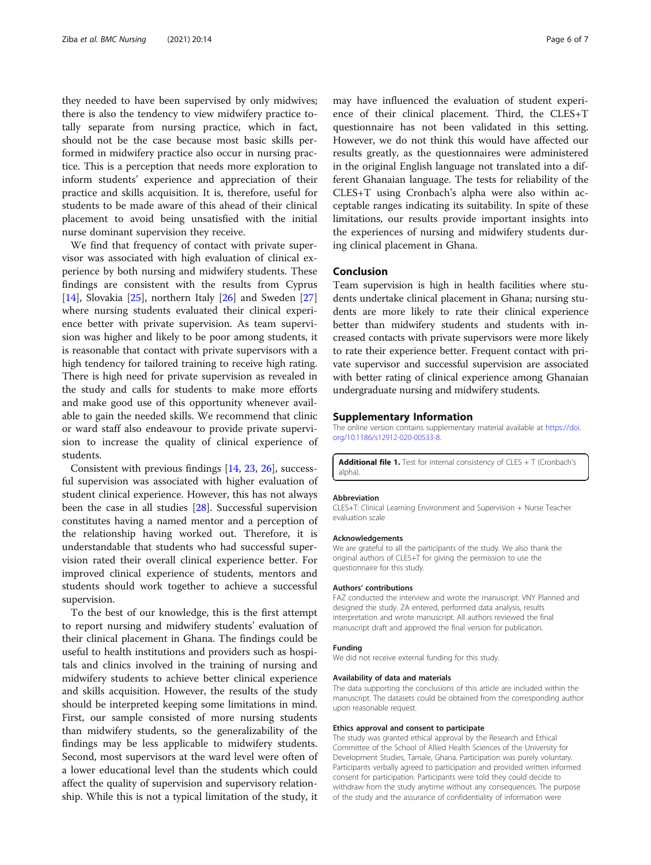<span id="page-5-0"></span>they needed to have been supervised by only midwives; there is also the tendency to view midwifery practice totally separate from nursing practice, which in fact, should not be the case because most basic skills performed in midwifery practice also occur in nursing practice. This is a perception that needs more exploration to inform students' experience and appreciation of their practice and skills acquisition. It is, therefore, useful for students to be made aware of this ahead of their clinical placement to avoid being unsatisfied with the initial nurse dominant supervision they receive.

We find that frequency of contact with private supervisor was associated with high evaluation of clinical experience by both nursing and midwifery students. These findings are consistent with the results from Cyprus [[14\]](#page-6-0), Slovakia [\[25](#page-6-0)], northern Italy [\[26](#page-6-0)] and Sweden [[27](#page-6-0)] where nursing students evaluated their clinical experience better with private supervision. As team supervision was higher and likely to be poor among students, it is reasonable that contact with private supervisors with a high tendency for tailored training to receive high rating. There is high need for private supervision as revealed in the study and calls for students to make more efforts and make good use of this opportunity whenever available to gain the needed skills. We recommend that clinic or ward staff also endeavour to provide private supervision to increase the quality of clinical experience of students.

Consistent with previous findings [[14,](#page-6-0) [23,](#page-6-0) [26\]](#page-6-0), successful supervision was associated with higher evaluation of student clinical experience. However, this has not always been the case in all studies [\[28\]](#page-6-0). Successful supervision constitutes having a named mentor and a perception of the relationship having worked out. Therefore, it is understandable that students who had successful supervision rated their overall clinical experience better. For improved clinical experience of students, mentors and students should work together to achieve a successful supervision.

To the best of our knowledge, this is the first attempt to report nursing and midwifery students' evaluation of their clinical placement in Ghana. The findings could be useful to health institutions and providers such as hospitals and clinics involved in the training of nursing and midwifery students to achieve better clinical experience and skills acquisition. However, the results of the study should be interpreted keeping some limitations in mind. First, our sample consisted of more nursing students than midwifery students, so the generalizability of the findings may be less applicable to midwifery students. Second, most supervisors at the ward level were often of a lower educational level than the students which could affect the quality of supervision and supervisory relationship. While this is not a typical limitation of the study, it

may have influenced the evaluation of student experience of their clinical placement. Third, the CLES+T questionnaire has not been validated in this setting. However, we do not think this would have affected our results greatly, as the questionnaires were administered in the original English language not translated into a different Ghanaian language. The tests for reliability of the CLES+T using Cronbach's alpha were also within acceptable ranges indicating its suitability. In spite of these limitations, our results provide important insights into the experiences of nursing and midwifery students during clinical placement in Ghana.

#### Conclusion

Team supervision is high in health facilities where students undertake clinical placement in Ghana; nursing students are more likely to rate their clinical experience better than midwifery students and students with increased contacts with private supervisors were more likely to rate their experience better. Frequent contact with private supervisor and successful supervision are associated with better rating of clinical experience among Ghanaian undergraduate nursing and midwifery students.

#### Supplementary Information

The online version contains supplementary material available at [https://doi.](https://doi.org/10.1186/s12912-020-00533-8) [org/10.1186/s12912-020-00533-8.](https://doi.org/10.1186/s12912-020-00533-8)

Additional file 1. Test for internal consistency of CLES + T (Cronbach's alpha)

#### Abbreviation

CLES+T: Clinical Learning Environment and Supervision + Nurse Teacher evaluation scale

#### Acknowledgements

We are grateful to all the participants of the study. We also thank the original authors of CLES+T for giving the permission to use the questionnaire for this study.

#### Authors' contributions

FAZ conducted the interview and wrote the manuscript. VNY Planned and designed the study. ZA entered, performed data analysis, results interpretation and wrote manuscript. All authors reviewed the final manuscript draft and approved the final version for publication.

#### Funding

We did not receive external funding for this study.

#### Availability of data and materials

The data supporting the conclusions of this article are included within the manuscript. The datasets could be obtained from the corresponding author upon reasonable request.

#### Ethics approval and consent to participate

The study was granted ethical approval by the Research and Ethical Committee of the School of Allied Health Sciences of the University for Development Studies, Tamale, Ghana. Participation was purely voluntary. Participants verbally agreed to participation and provided written informed consent for participation. Participants were told they could decide to withdraw from the study anytime without any consequences. The purpose of the study and the assurance of confidentiality of information were